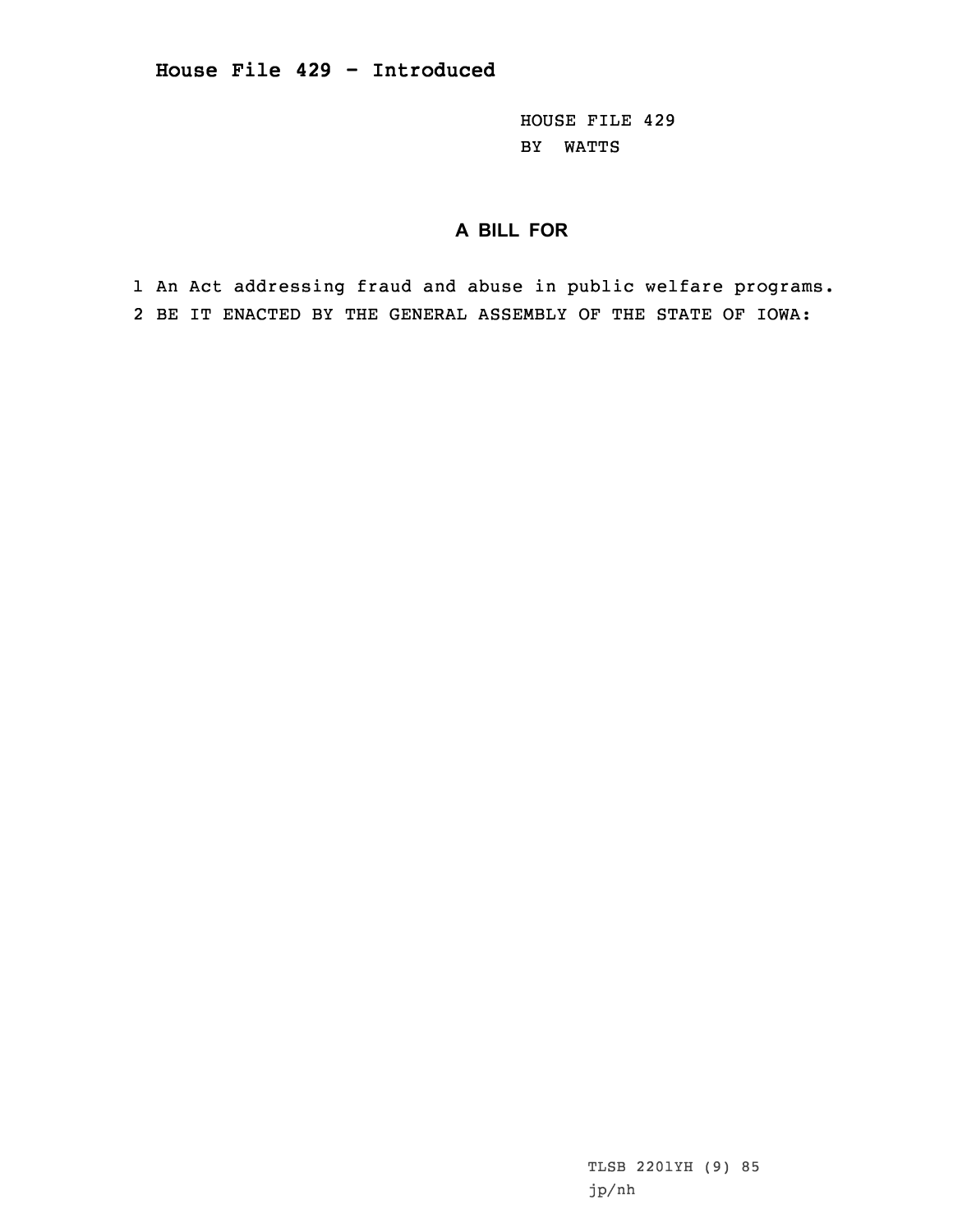HOUSE FILE 429 BY WATTS

## **A BILL FOR**

1 An Act addressing fraud and abuse in public welfare programs. 2 BE IT ENACTED BY THE GENERAL ASSEMBLY OF THE STATE OF IOWA: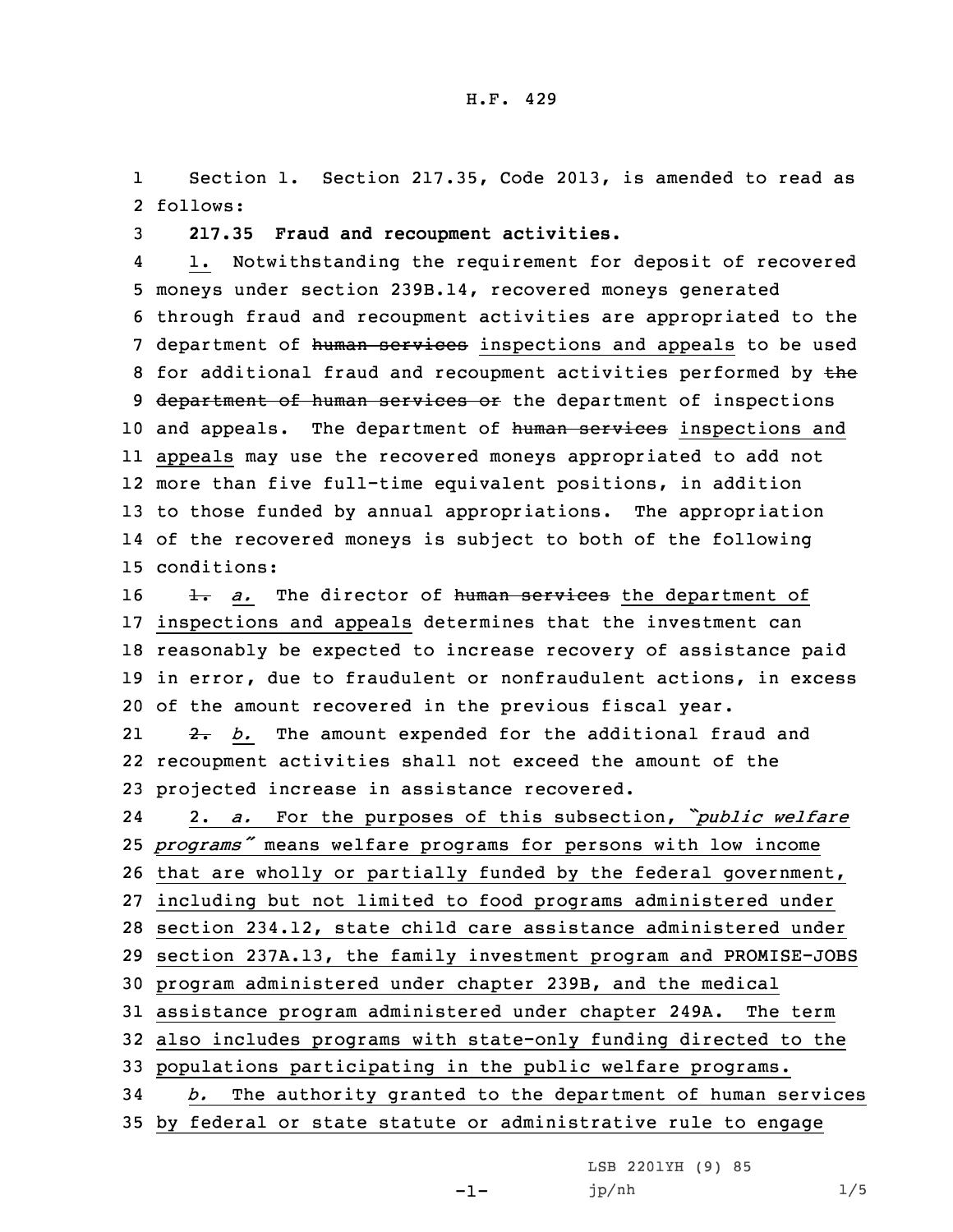1 Section 1. Section 217.35, Code 2013, is amended to read as 2 follows:

3 **217.35 Fraud and recoupment activities.**

4 1. Notwithstanding the requirement for deposit of recovered 5 moneys under section 239B.14, recovered moneys generated 6 through fraud and recoupment activities are appropriated to the 7 department of human services inspections and appeals to be used 8 for additional fraud and recoupment activities performed by the 9 department of human services or the department of inspections 10 and appeals. The department of human services inspections and 11 appeals may use the recovered moneys appropriated to add not 12 more than five full-time equivalent positions, in addition 13 to those funded by annual appropriations. The appropriation 14 of the recovered moneys is subject to both of the following 15 conditions:

16 1. *a.* The director of human services the department of inspections and appeals determines that the investment can reasonably be expected to increase recovery of assistance paid in error, due to fraudulent or nonfraudulent actions, in excess of the amount recovered in the previous fiscal year.

21 2. *b.* The amount expended for the additional fraud and 22 recoupment activities shall not exceed the amount of the 23 projected increase in assistance recovered.

24 2. *a.* For the purposes of this subsection, *"public welfare programs"* means welfare programs for persons with low income that are wholly or partially funded by the federal government, including but not limited to food programs administered under section 234.12, state child care assistance administered under section 237A.13, the family investment program and PROMISE-JOBS program administered under chapter 239B, and the medical assistance program administered under chapter 249A. The term also includes programs with state-only funding directed to the populations participating in the public welfare programs. *b.* The authority granted to the department of human services by federal or state statute or administrative rule to engage

LSB 2201YH (9) 85

jp/nh 1/5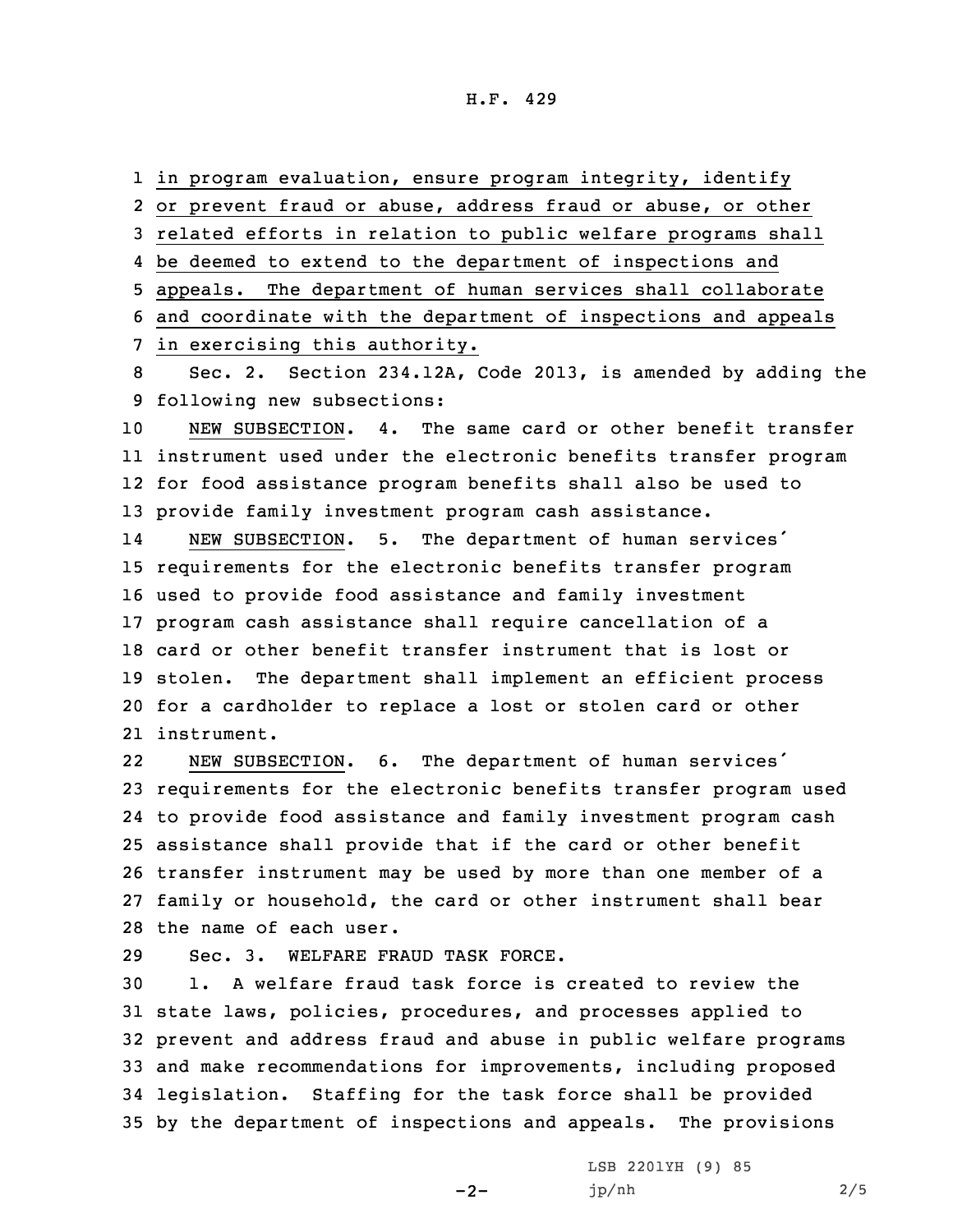## H.F. 429

1 in program evaluation, ensure program integrity, identify

2 or prevent fraud or abuse, address fraud or abuse, or other

3 related efforts in relation to public welfare programs shall

4 be deemed to extend to the department of inspections and

5 appeals. The department of human services shall collaborate

6 and coordinate with the department of inspections and appeals

7 in exercising this authority.

8 Sec. 2. Section 234.12A, Code 2013, is amended by adding the 9 following new subsections:

 NEW SUBSECTION. 4. The same card or other benefit transfer instrument used under the electronic benefits transfer program for food assistance program benefits shall also be used to provide family investment program cash assistance.

14 NEW SUBSECTION. 5. The department of human services' requirements for the electronic benefits transfer program used to provide food assistance and family investment program cash assistance shall require cancellation of <sup>a</sup> card or other benefit transfer instrument that is lost or stolen. The department shall implement an efficient process for <sup>a</sup> cardholder to replace <sup>a</sup> lost or stolen card or other instrument.

22 NEW SUBSECTION. 6. The department of human services' requirements for the electronic benefits transfer program used to provide food assistance and family investment program cash assistance shall provide that if the card or other benefit transfer instrument may be used by more than one member of <sup>a</sup> family or household, the card or other instrument shall bear the name of each user.

29 Sec. 3. WELFARE FRAUD TASK FORCE.

 1. A welfare fraud task force is created to review the state laws, policies, procedures, and processes applied to prevent and address fraud and abuse in public welfare programs and make recommendations for improvements, including proposed legislation. Staffing for the task force shall be provided by the department of inspections and appeals. The provisions

 $-2-$ 

LSB 2201YH (9) 85 jp/nh 2/5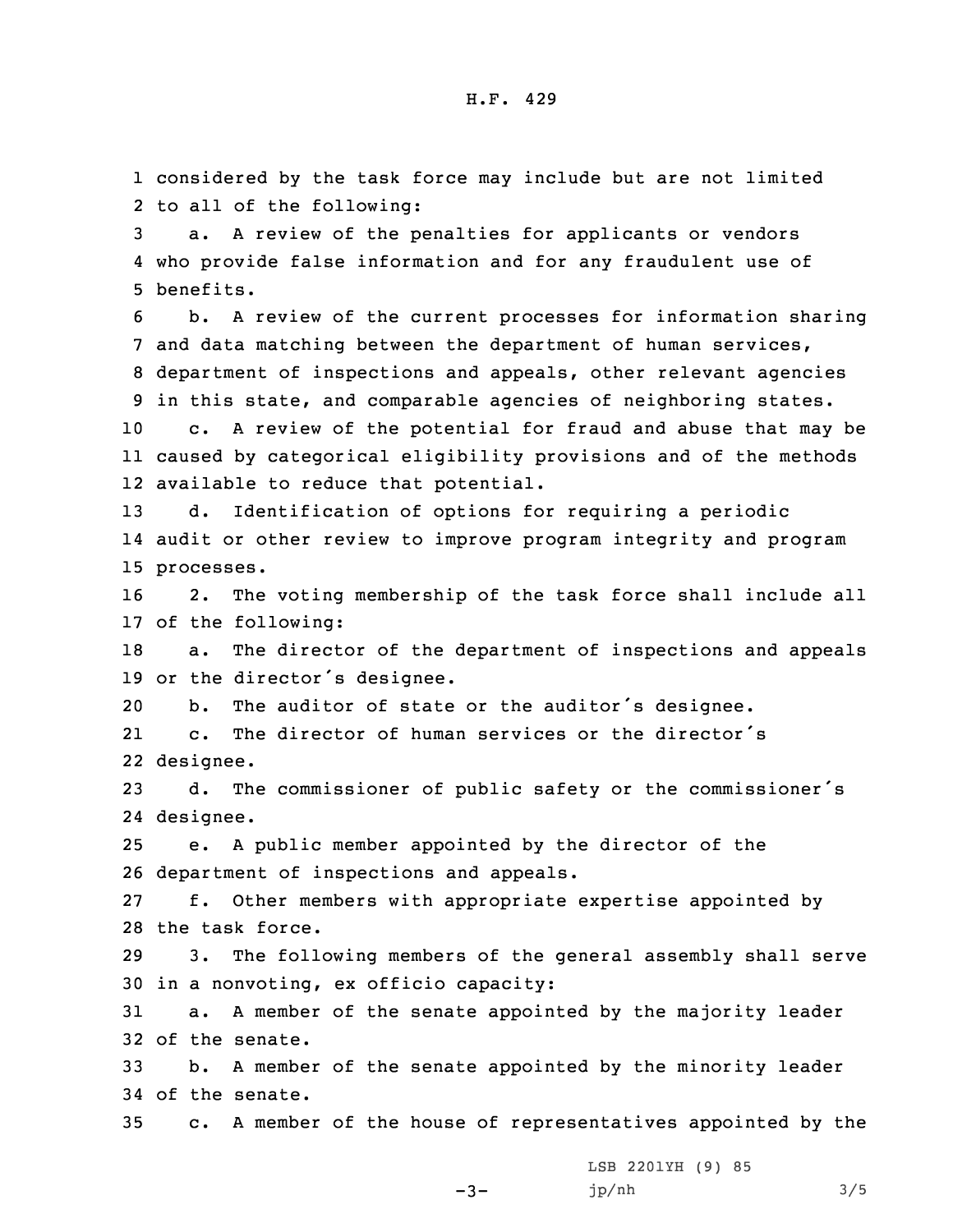1 considered by the task force may include but are not limited 2 to all of the following:

3 a. <sup>A</sup> review of the penalties for applicants or vendors 4 who provide false information and for any fraudulent use of 5 benefits.

 b. <sup>A</sup> review of the current processes for information sharing and data matching between the department of human services, department of inspections and appeals, other relevant agencies in this state, and comparable agencies of neighboring states.

10 c. <sup>A</sup> review of the potential for fraud and abuse that may be 11 caused by categorical eligibility provisions and of the methods 12 available to reduce that potential.

13 d. Identification of options for requiring <sup>a</sup> periodic 14 audit or other review to improve program integrity and program 15 processes.

16 2. The voting membership of the task force shall include all 17 of the following:

18 a. The director of the department of inspections and appeals <sup>19</sup> or the director's designee.

<sup>20</sup> b. The auditor of state or the auditor's designee.

21 c. The director of human services or the director's 22 designee.

<sup>23</sup> d. The commissioner of public safety or the commissioner's 24 designee.

25 e. <sup>A</sup> public member appointed by the director of the 26 department of inspections and appeals.

27 f. Other members with appropriate expertise appointed by 28 the task force.

29 3. The following members of the general assembly shall serve 30 in <sup>a</sup> nonvoting, ex officio capacity:

31 a. <sup>A</sup> member of the senate appointed by the majority leader 32 of the senate.

33 b. <sup>A</sup> member of the senate appointed by the minority leader 34 of the senate.

35 c. <sup>A</sup> member of the house of representatives appointed by the

LSB 2201YH (9) 85

 $-3-$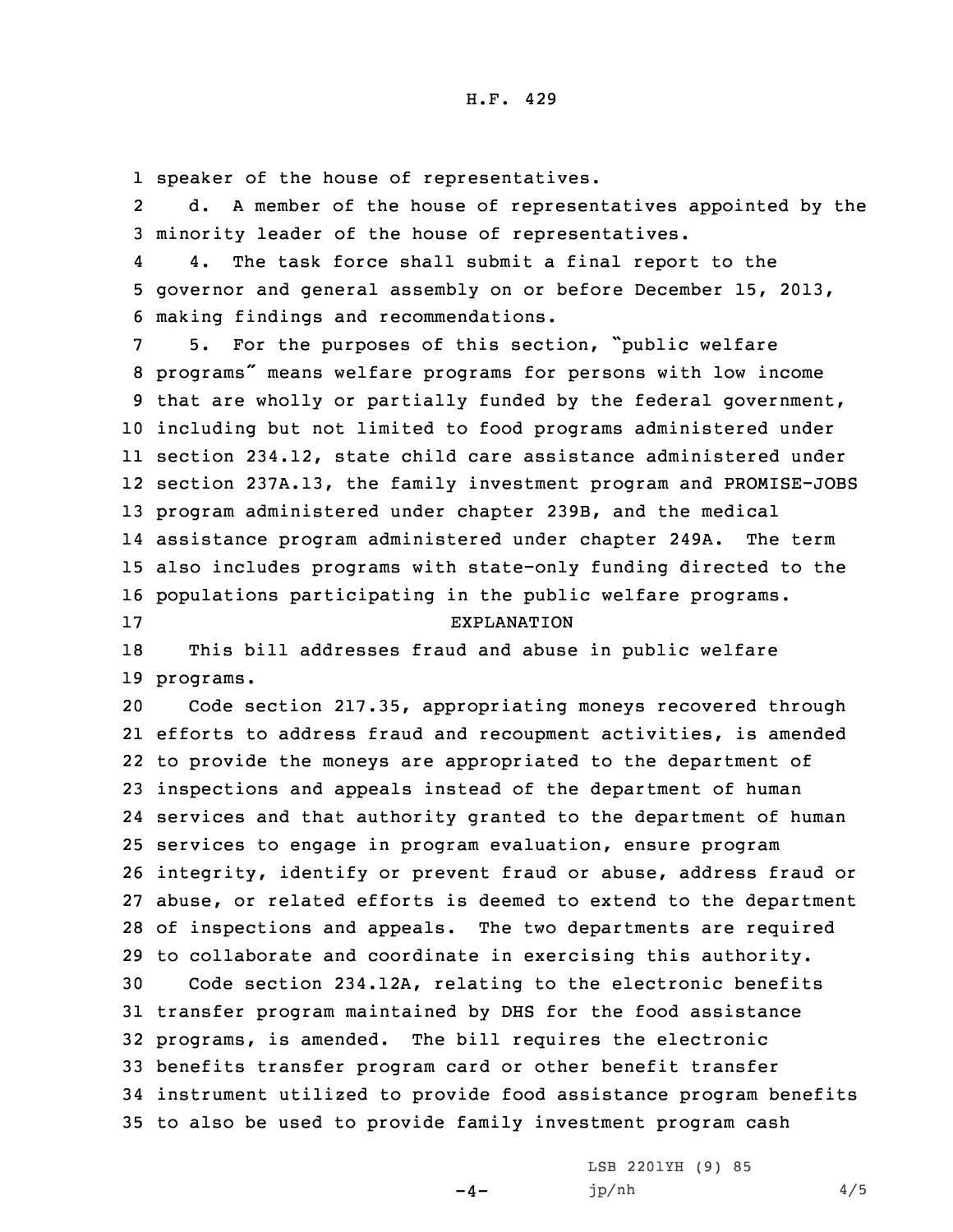1 speaker of the house of representatives.

2 d. <sup>A</sup> member of the house of representatives appointed by the 3 minority leader of the house of representatives.

4 4. The task force shall submit <sup>a</sup> final report to the 5 governor and general assembly on or before December 15, 2013, 6 making findings and recommendations.

 5. For the purposes of this section, "public welfare programs" means welfare programs for persons with low income that are wholly or partially funded by the federal government, including but not limited to food programs administered under section 234.12, state child care assistance administered under section 237A.13, the family investment program and PROMISE-JOBS program administered under chapter 239B, and the medical assistance program administered under chapter 249A. The term also includes programs with state-only funding directed to the populations participating in the public welfare programs. EXPLANATION

18 This bill addresses fraud and abuse in public welfare 19 programs.

 Code section 217.35, appropriating moneys recovered through efforts to address fraud and recoupment activities, is amended to provide the moneys are appropriated to the department of inspections and appeals instead of the department of human services and that authority granted to the department of human services to engage in program evaluation, ensure program integrity, identify or prevent fraud or abuse, address fraud or abuse, or related efforts is deemed to extend to the department of inspections and appeals. The two departments are required to collaborate and coordinate in exercising this authority. Code section 234.12A, relating to the electronic benefits transfer program maintained by DHS for the food assistance programs, is amended. The bill requires the electronic benefits transfer program card or other benefit transfer instrument utilized to provide food assistance program benefits to also be used to provide family investment program cash

 $-4-$ 

LSB 2201YH (9) 85 jp/nh 4/5